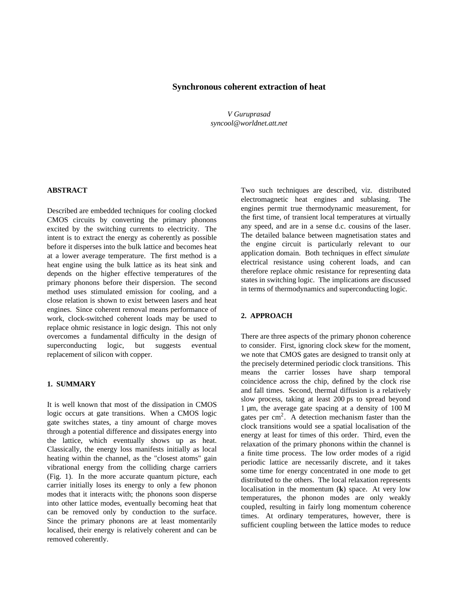# **Synchronous coherent extraction of heat**

*V Guruprasad syncool@worldnet.att.net*

## **ABSTRACT**

Described are embedded techniques for cooling clocked CMOS circuits by converting the primary phonons excited by the switching currents to electricity. The intent is to extract the energy as coherently as possible before it disperses into the bulk lattice and becomes heat at a lower average temperature. The first method is a heat engine using the bulk lattice as its heat sink and depends on the higher effective temperatures of the primary phonons before their dispersion. The second method uses stimulated emission for cooling, and a close relation is shown to exist between lasers and heat engines. Since coherent removal means performance of work, clock-switched coherent loads may be used to replace ohmic resistance in logic design. This not only overcomes a fundamental difficulty in the design of superconducting logic, but suggests eventual replacement of silicon with copper.

# **1. SUMMARY**

It is well known that most of the dissipation in CMOS logic occurs at gate transitions. When a CMOS logic gate switches states, a tiny amount of charge moves through a potential difference and dissipates energy into the lattice, which eventually shows up as heat. Classically, the energy loss manifests initially as local heating within the channel, as the "closest atoms" gain vibrational energy from the colliding charge carriers (Fig. 1). In the more accurate quantum picture, each carrier initially loses its energy to only a few phonon modes that it interacts with; the phonons soon disperse into other lattice modes, eventually becoming heat that can be removed only by conduction to the surface. Since the primary phonons are at least momentarily localised, their energy is relatively coherent and can be removed coherently.

Two such techniques are described, viz. distributed electromagnetic heat engines and sublasing. The engines permit true thermodynamic measurement, for the first time, of transient local temperatures at virtually any speed, and are in a sense d.c. cousins of the laser. The detailed balance between magnetisation states and the engine circuit is particularly relevant to our application domain. Both techniques in effect *simulate* electrical resistance using coherent loads, and can therefore replace ohmic resistance for representing data states in switching logic. The implications are discussed in terms of thermodynamics and superconducting logic.

## **2. APPROACH**

There are three aspects of the primary phonon coherence to consider. First, ignoring clock skew for the moment, we note that CMOS gates are designed to transit only at the precisely determined periodic clock transitions. This means the carrier losses have sharp temporal coincidence across the chip, defined by the clock rise and fall times. Second, thermal diffusion is a relatively slow process, taking at least 200 ps to spread beyond 1 µm, the average gate spacing at a density of 100 M gates per  $\text{cm}^2$ . A detection mechanism faster than the clock transitions would see a spatial localisation of the energy at least for times of this order. Third, even the relaxation of the primary phonons within the channel is a finite time process. The low order modes of a rigid periodic lattice are necessarily discrete, and it takes some time for energy concentrated in one mode to get distributed to the others. The local relaxation represents localisation in the momentum (**k**) space. At very low temperatures, the phonon modes are only weakly coupled, resulting in fairly long momentum coherence times. At ordinary temperatures, however, there is sufficient coupling between the lattice modes to reduce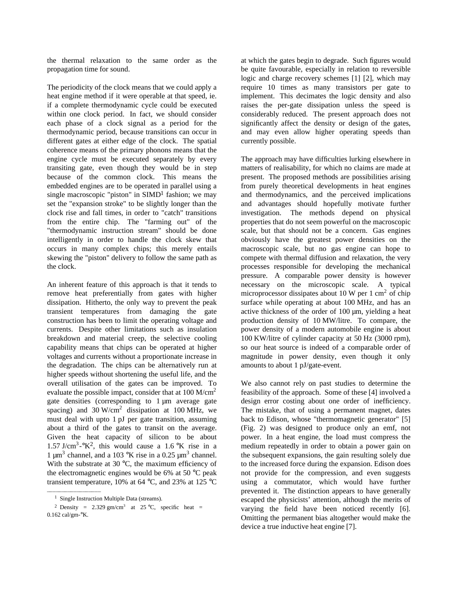the thermal relaxation to the same order as the propagation time for sound.

The periodicity of the clock means that we could apply a heat engine method if it were operable at that speed, ie. if a complete thermodynamic cycle could be executed within one clock period. In fact, we should consider each phase of a clock signal as a period for the thermodynamic period, because transitions can occur in different gates at either edge of the clock. The spatial coherence means of the primary phonons means that the engine cycle must be executed separately by every transiting gate, even though they would be in step because of the common clock. This means the embedded engines are to be operated in parallel using a single macroscopic "piston" in SIMD<sup>1</sup> fashion; we may set the "expansion stroke" to be slightly longer than the clock rise and fall times, in order to "catch" transitions from the entire chip. The "farming out" of the "thermodynamic instruction stream" should be done intelligently in order to handle the clock skew that occurs in many complex chips; this merely entails skewing the "piston" delivery to follow the same path as the clock.

An inherent feature of this approach is that it tends to remove heat preferentially from gates with higher dissipation. Hitherto, the only way to prevent the peak transient temperatures from damaging the gate construction has been to limit the operating voltage and currents. Despite other limitations such as insulation breakdown and material creep, the selective cooling capability means that chips can be operated at higher voltages and currents without a proportionate increase in the degradation. The chips can be alternatively run at higher speeds without shortening the useful life, and the overall utilisation of the gates can be improved. To evaluate the possible impact, consider that at  $100 \text{ M/cm}^2$ gate densities (corresponding to 1 µm average gate spacing) and  $30 \text{ W/cm}^2$  dissipation at 100 MHz, we must deal with upto 1 pJ per gate transition, assuming about a third of the gates to transit on the average. Given the heat capacity of silicon to be about 1.57 J/cm<sup>3</sup>-°K<sup>2</sup>, this would cause a 1.6 °K rise in a 1  $\mu$ m<sup>3</sup> channel, and a 103 °K rise in a 0.25  $\mu$ m<sup>3</sup> channel. With the substrate at 30  $^{\circ}$ C, the maximum efficiency of the electromagnetic engines would be 6% at 50 °C peak transient temperature, 10% at 64  $^{\circ}$ C, and 23% at 125  $^{\circ}$ C

hhhhhhhhhhhhhhhhhh

at which the gates begin to degrade. Such figures would be quite favourable, especially in relation to reversible logic and charge recovery schemes [1] [2], which may require 10 times as many transistors per gate to implement. This decimates the logic density and also raises the per-gate dissipation unless the speed is considerably reduced. The present approach does not significantly affect the density or design of the gates, and may even allow higher operating speeds than currently possible.

The approach may have difficulties lurking elsewhere in matters of realisability, for which no claims are made at present. The proposed methods are possibilities arising from purely theoretical developments in heat engines and thermodynamics, and the perceived implications and advantages should hopefully motivate further investigation. The methods depend on physical properties that do not seem powerful on the macroscopic scale, but that should not be a concern. Gas engines obviously have the greatest power densities on the macroscopic scale, but no gas engine can hope to compete with thermal diffusion and relaxation, the very processes responsible for developing the mechanical pressure. A comparable power density is however necessary on the microscopic scale. A typical microprocessor dissipates about 10 W per 1 cm<sup>2</sup> of chip surface while operating at about 100 MHz, and has an active thickness of the order of 100 µm, yielding a heat production density of 10 MW/litre. To compare, the power density of a modern automobile engine is about 100 KW/litre of cylinder capacity at 50 Hz (3000 rpm), so our heat source is indeed of a comparable order of magnitude in power density, even though it only amounts to about 1 pJ/gate-event.

We also cannot rely on past studies to determine the feasibility of the approach. Some of these [4] involved a design error costing about one order of inefficiency. The mistake, that of using a permanent magnet, dates back to Edison, whose "thermomagnetic generator" [5] (Fig. 2) was designed to produce only an emf, not power. In a heat engine, the load must compress the medium repeatedly in order to obtain a power gain on the subsequent expansions, the gain resulting solely due to the increased force during the expansion. Edison does not provide for the compression, and even suggests using a commutator, which would have further prevented it. The distinction appears to have generally escaped the physicists' attention, although the merits of varying the field have been noticed recently [6]. Omitting the permanent bias altogether would make the device a true inductive heat engine [7].

<sup>1</sup> Single Instruction Multiple Data (streams).

<sup>&</sup>lt;sup>2</sup> Density = 2.329 gm/cm<sup>3</sup> at 25 °C, specific heat = 0.162 cal/gm-°K.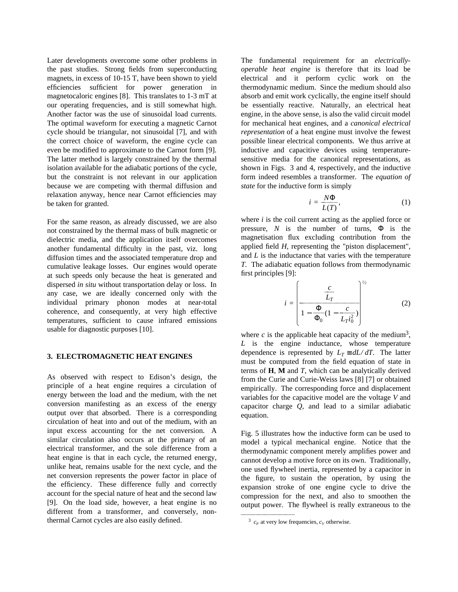Later developments overcome some other problems in the past studies. Strong fields from superconducting magnets, in excess of 10-15 T, have been shown to yield efficiencies sufficient for power generation in magnetocaloric engines [8]. This translates to 1-3 mT at our operating frequencies, and is still somewhat high. Another factor was the use of sinusoidal load currents. The optimal waveform for executing a magnetic Carnot cycle should be triangular, not sinusoidal [7], and with the correct choice of waveform, the engine cycle can even be modified to approximate to the Carnot form [9]. The latter method is largely constrained by the thermal isolation available for the adiabatic portions of the cycle, but the constraint is not relevant in our application because we are competing with thermal diffusion and relaxation anyway, hence near Carnot efficiencies may be taken for granted.

For the same reason, as already discussed, we are also not constrained by the thermal mass of bulk magnetic or dielectric media, and the application itself overcomes another fundamental difficulty in the past, viz. long diffusion times and the associated temperature drop and cumulative leakage losses. Our engines would operate at such speeds only because the heat is generated and dispersed *in situ* without transportation delay or loss. In any case, we are ideally concerned only with the individual primary phonon modes at near-total coherence, and consequently, at very high effective temperatures, sufficient to cause infrared emissions usable for diagnostic purposes [10].

#### **3. ELECTROMAGNETIC HEAT ENGINES**

As observed with respect to Edison's design, the principle of a heat engine requires a circulation of energy between the load and the medium, with the net conversion manifesting as an excess of the energy output over that absorbed. There is a corresponding circulation of heat into and out of the medium, with an input excess accounting for the net conversion. A similar circulation also occurs at the primary of an electrical transformer, and the sole difference from a heat engine is that in each cycle, the returned energy, unlike heat, remains usable for the next cycle, and the net conversion represents the power factor in place of the efficiency. These difference fully and correctly account for the special nature of heat and the second law [9]. On the load side, however, a heat engine is no different from a transformer, and conversely, nonthermal Carnot cycles are also easily defined.

The fundamental requirement for an *electricallyoperable heat engine* is therefore that its load be electrical and it perform cyclic work on the thermodynamic medium. Since the medium should also absorb and emit work cyclically, the engine itself should be essentially reactive. Naturally, an electrical heat engine, in the above sense, is also the valid circuit model for mechanical heat engines, and a *canonical electrical representation* of a heat engine must involve the fewest possible linear electrical components. We thus arrive at inductive and capacitive devices using temperaturesensitive media for the canonical representations, as shown in Figs. 3 and 4, respectively, and the inductive form indeed resembles a transformer. The *equation of state* for the inductive form is simply

$$
i = \frac{N\Phi}{L(T)},\tag{1}
$$

where *i* is the coil current acting as the applied force or pressure,  $N$  is the number of turns,  $\Phi$  is the magnetisation flux excluding contribution from the applied field *H*, representing the "piston displacement", and *L* is the inductance that varies with the temperature *T*. The adiabatic equation follows from thermodynamic first principles [9]:

$$
i = \left[\frac{\frac{c}{L_T}}{1 - \frac{\Phi}{\Phi_0}(1 - \frac{c}{L_T i_0^2})}\right]^{l/2}
$$
 (2)

where  $c$  is the applicable heat capacity of the medium<sup>3</sup>, *L* is the engine inductance, whose temperature dependence is represented by  $L_T \equiv dL/dT$ . The latter must be computed from the field equation of state in terms of **H**, **M** and *T*, which can be analytically derived from the Curie and Curie-Weiss laws [8] [7] or obtained empirically. The corresponding force and displacement variables for the capacitive model are the voltage *V* and capacitor charge *Q*, and lead to a similar adiabatic equation.

Fig. 5 illustrates how the inductive form can be used to model a typical mechanical engine. Notice that the thermodynamic component merely amplifies power and cannot develop a motive force on its own. Traditionally, one used flywheel inertia, represented by a capacitor in the figure, to sustain the operation, by using the expansion stroke of one engine cycle to drive the compression for the next, and also to smoothen the output power. The flywheel is really extraneous to the

hhhhhhhhhhhhhhhhhh

 $^{3}$   $c_{P}$  at very low frequencies,  $c_{V}$  otherwise.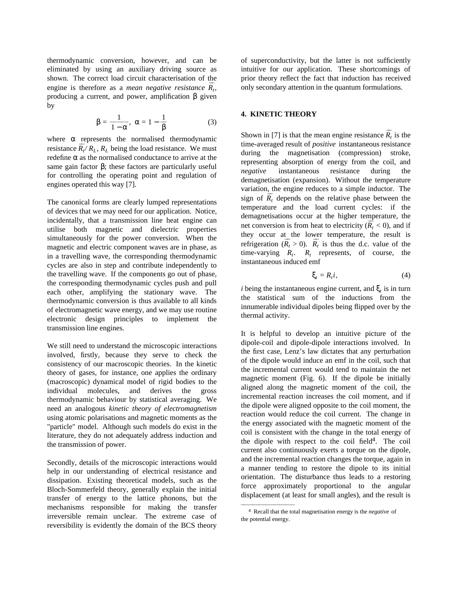thermodynamic conversion, however, and can be eliminated by using an auxiliary driving source as shown. The correct load circuit characterisation of the engine is therefore as a *mean negative resistance R<sup>t</sup>* , producing a current, and power, amplification β given by

$$
\beta = \frac{1}{1 - \alpha}, \ \alpha = 1 - \frac{1}{\beta} \tag{3}
$$

where  $\alpha$  represents the normalised thermodynamic resistance  $R_t/R_L$ ,  $R_L$  being the load resistance. We must redefine  $\alpha$  as the normalised conductance to arrive at the same gain factor β; these factors are particularly useful for controlling the operating point and regulation of engines operated this way [7].

The canonical forms are clearly lumped representations of devices that we may need for our application. Notice, incidentally, that a transmission line heat engine can utilise both magnetic and dielectric properties simultaneously for the power conversion. When the magnetic and electric component waves are in phase, as in a travelling wave, the corresponding thermodynamic cycles are also in step and contribute independently to the travelling wave. If the components go out of phase, the corresponding thermodynamic cycles push and pull each other, amplifying the stationary wave. The thermodynamic conversion is thus available to all kinds of electromagnetic wave energy, and we may use routine electronic design principles to implement the transmission line engines.

We still need to understand the microscopic interactions involved, firstly, because they serve to check the consistency of our macroscopic theories. In the kinetic theory of gases, for instance, one applies the ordinary (macroscopic) dynamical model of rigid bodies to the individual molecules, and derives the gross thermodynamic behaviour by statistical averaging. We need an analogous *kinetic theory of electromagnetism* using atomic polarisations and magnetic moments as the "particle" model. Although such models do exist in the literature, they do not adequately address induction and the transmission of power.

Secondly, details of the microscopic interactions would help in our understanding of electrical resistance and dissipation. Existing theoretical models, such as the Bloch-Sommerfeld theory, generally explain the initial transfer of energy to the lattice phonons, but the mechanisms responsible for making the transfer irreversible remain unclear. The extreme case of reversibility is evidently the domain of the BCS theory of superconductivity, but the latter is not sufficiently intuitive for our application. These shortcomings of prior theory reflect the fact that induction has received only secondary attention in the quantum formulations.

#### **4. KINETIC THEORY**

Shown in [7] is that the mean engine resistance  $R_t$  $\overline{a}$ is the time-averaged result of *positive* instantaneous resistance during the magnetisation (compression) stroke, representing absorption of energy from the coil, and *negative* instantaneous resistance during the demagnetisation (expansion). Without the temperature variation, the engine reduces to a simple inductor. The sign of  $R_t$  depends on the relative phase between the temperature and the load current cycles: if the demagnetisations occur at the higher temperature, the net conversion is from heat to electricity ( $R_t < 0$ ), and if they occur at the lower temperature, the result is refrigeration  $(R_t > 0)$ .  $R_t$  is thus the d.c. value of the time-varying  $R_t$ .  $R_t$  represents, of course, the instantaneous induced emf

$$
\xi_t = R_t i,\tag{4}
$$

*i* being the instantaneous engine current, and  $\xi_t$  is in turn the statistical sum of the inductions from the innumerable individual dipoles being flipped over by the thermal activity.

It is helpful to develop an intuitive picture of the dipole-coil and dipole-dipole interactions involved. In the first case, Lenz's law dictates that any perturbation of the dipole would induce an emf in the coil, such that the incremental current would tend to maintain the net magnetic moment (Fig. 6). If the dipole be initially aligned along the magnetic moment of the coil, the incremental reaction increases the coil moment, and if the dipole were aligned opposite to the coil moment, the reaction would reduce the coil current. The change in the energy associated with the magnetic moment of the coil is consistent with the change in the total energy of the dipole with respect to the coil field $4$ . The coil current also continuously exerts a torque on the dipole, and the incremental reaction changes the torque, again in a manner tending to restore the dipole to its initial orientation. The disturbance thus leads to a restoring force approximately proportional to the angular displacement (at least for small angles), and the result is

hhhhhhhhhhhhhhhhhh

<sup>4</sup> Recall that the total magnetisation energy is the *negative* of the potential energy.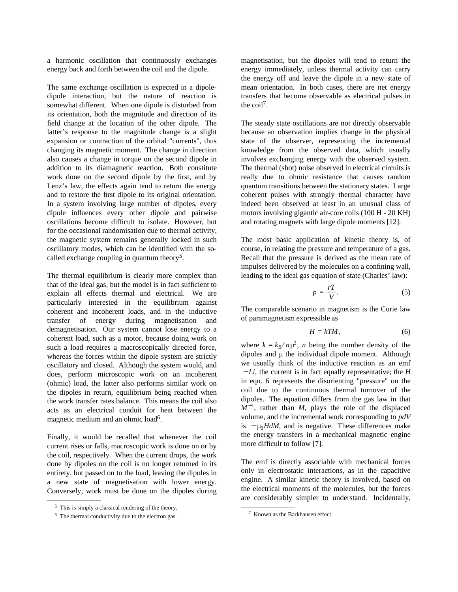a harmonic oscillation that continuously exchanges energy back and forth between the coil and the dipole.

The same exchange oscillation is expected in a dipoledipole interaction, but the nature of reaction is somewhat different. When one dipole is disturbed from its orientation, both the magnitude and direction of its field change at the location of the other dipole. The latter's response to the magnitude change is a slight expansion or contraction of the orbital "currents", thus changing its magnetic moment. The change in direction also causes a change in torque on the second dipole in addition to its diamagnetic reaction. Both constitute work done on the second dipole by the first, and by Lenz's law, the effects again tend to return the energy and to restore the first dipole to its original orientation. In a system involving large number of dipoles, every dipole influences every other dipole and pairwise oscillations become difficult to isolate. However, but for the occasional randomisation due to thermal activity, the magnetic system remains generally locked in such oscillatory modes, which can be identified with the socalled exchange coupling in quantum theory<sup>5</sup>.

The thermal equilibrium is clearly more complex than that of the ideal gas, but the model is in fact sufficient to explain all effects thermal and electrical. We are particularly interested in the equilibrium against coherent and incoherent loads, and in the inductive transfer of energy during magnetisation and demagnetisation. Our system cannot lose energy to a coherent load, such as a motor, because doing work on such a load requires a macroscopically directed force, whereas the forces within the dipole system are strictly oscillatory and closed. Although the system would, and does, perform microscopic work on an incoherent (ohmic) load, the latter also performs similar work on the dipoles in return, equilibrium being reached when the work transfer rates balance. This means the coil also acts as an electrical conduit for heat between the magnetic medium and an ohmic load<sup>6</sup>.

Finally, it would be recalled that whenever the coil current rises or falls, macroscopic work is done on or by the coil, respectively. When the current drops, the work done by dipoles on the coil is no longer returned in its entirety, but passed on to the load, leaving the dipoles in a new state of magnetisation with lower energy. Conversely, work must be done on the dipoles during

hhhhhhhhhhhhhhhhhh

magnetisation, but the dipoles will tend to return the energy immediately, unless thermal activity can carry the energy off and leave the dipole in a new state of mean orientation. In both cases, there are net energy transfers that become observable as electrical pulses in the coil<sup>7</sup>.

The steady state oscillations are not directly observable because an observation implies change in the physical state of the observer, representing the incremental knowledge from the observed data, which usually involves exchanging energy with the observed system. The thermal (shot) noise observed in electrical circuits is really due to ohmic resistance that causes random quantum transitions between the stationary states. Large coherent pulses with strongly thermal character have indeed been observed at least in an unusual class of motors involving gigantic air-core coils (100 H - 20 KH) and rotating magnets with large dipole moments [12].

The most basic application of kinetic theory is, of course, in relating the pressure and temperature of a gas. Recall that the pressure is derived as the mean rate of impulses delivered by the molecules on a confining wall, leading to the ideal gas equation of state (Charles' law):

$$
p = \frac{rT}{V}.\tag{5}
$$

The comparable scenario in magnetism is the Curie law of paramagnetism expressible as

$$
H = kTM,\t\t(6)
$$

where  $k = k_B/n\mu^2$ , *n* being the number density of the dipoles and  $\mu$  the individual dipole moment. Although we usually think of the inductive reaction as an emf − *Li*, the current is in fact equally representative; the *H* in eqn. 6 represents the disorienting "pressure" on the coil due to the continuous thermal turnover of the dipoles. The equation differs from the gas law in that *M*<sup>−1</sup>, rather than *M*, plays the role of the displaced volume, and the incremental work corresponding to *pdV* is  $-\mu_0 H dM$ , and is negative. These differences make the energy transfers in a mechanical magnetic engine more difficult to follow [7].

The emf is directly associable with mechanical forces only in electrostatic interactions, as in the capacitive engine. A similar kinetic theory is involved, based on the electrical moments of the molecules, but the forces are considerably simpler to understand. Incidentally,

hhhhhhhhhhhhhhhhhh

<sup>5</sup> This is simply a classical rendering of the theory.

<sup>6</sup> The thermal conductivity due to the electron gas.

<sup>7</sup> Known as the Barkhausen effect.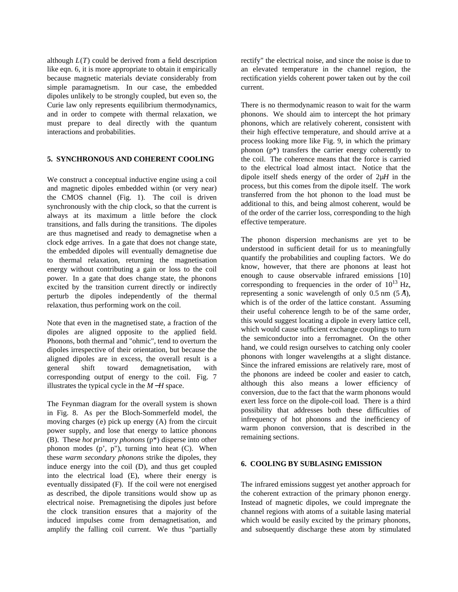although  $L(T)$  could be derived from a field description like eqn. 6, it is more appropriate to obtain it empirically because magnetic materials deviate considerably from simple paramagnetism. In our case, the embedded dipoles unlikely to be strongly coupled, but even so, the Curie law only represents equilibrium thermodynamics, and in order to compete with thermal relaxation, we must prepare to deal directly with the quantum interactions and probabilities.

# **5. SYNCHRONOUS AND COHERENT COOLING**

We construct a conceptual inductive engine using a coil and magnetic dipoles embedded within (or very near) the CMOS channel (Fig. 1). The coil is driven synchronously with the chip clock, so that the current is always at its maximum a little before the clock transitions, and falls during the transitions. The dipoles are thus magnetised and ready to demagnetise when a clock edge arrives. In a gate that does not change state, the embedded dipoles will eventually demagnetise due to thermal relaxation, returning the magnetisation energy without contributing a gain or loss to the coil power. In a gate that does change state, the phonons excited by the transition current directly or indirectly perturb the dipoles independently of the thermal relaxation, thus performing work on the coil.

Note that even in the magnetised state, a fraction of the dipoles are aligned opposite to the applied field. Phonons, both thermal and "ohmic", tend to overturn the dipoles irrespective of their orientation, but because the aligned dipoles are in excess, the overall result is a general shift toward demagnetisation, with corresponding output of energy to the coil. Fig. 7 illustrates the typical cycle in the *M* −*H* space.

The Feynman diagram for the overall system is shown in Fig. 8. As per the Bloch-Sommerfeld model, the moving charges (e) pick up energy (A) from the circuit power supply, and lose that energy to lattice phonons (B). These *hot primary phonons* (p\*) disperse into other phonon modes (p', p"), turning into heat (C). When these *warm secondary phonons* strike the dipoles, they induce energy into the coil (D), and thus get coupled into the electrical load (E), where their energy is eventually dissipated (F). If the coil were not energised as described, the dipole transitions would show up as electrical noise. Premagnetising the dipoles just before the clock transition ensures that a majority of the induced impulses come from demagnetisation, and amplify the falling coil current. We thus "partially rectify" the electrical noise, and since the noise is due to an elevated temperature in the channel region, the rectification yields coherent power taken out by the coil current.

There is no thermodynamic reason to wait for the warm phonons. We should aim to intercept the hot primary phonons, which are relatively coherent, consistent with their high effective temperature, and should arrive at a process looking more like Fig. 9, in which the primary phonon (p\*) transfers the carrier energy coherently to the coil. The coherence means that the force is carried to the electrical load almost intact. Notice that the dipole itself sheds energy of the order of 2µ*H* in the process, but this comes from the dipole itself. The work transferred from the hot phonon to the load must be additional to this, and being almost coherent, would be of the order of the carrier loss, corresponding to the high effective temperature.

The phonon dispersion mechanisms are yet to be understood in sufficient detail for us to meaningfully quantify the probabilities and coupling factors. We do know, however, that there are phonons at least hot enough to cause observable infrared emissions [10] corresponding to frequencies in the order of  $10^{13}$  Hz, representing a sonic wavelength of only 0.5 nm (5 *A*°), which is of the order of the lattice constant. Assuming their useful coherence length to be of the same order, this would suggest locating a dipole in every lattice cell, which would cause sufficient exchange couplings to turn the semiconductor into a ferromagnet. On the other hand, we could resign ourselves to catching only cooler phonons with longer wavelengths at a slight distance. Since the infrared emissions are relatively rare, most of the phonons are indeed be cooler and easier to catch, although this also means a lower efficiency of conversion, due to the fact that the warm phonons would exert less force on the dipole-coil load. There is a third possibility that addresses both these difficulties of infrequency of hot phonons and the inefficiency of warm phonon conversion, that is described in the remaining sections.

## **6. COOLING BY SUBLASING EMISSION**

The infrared emissions suggest yet another approach for the coherent extraction of the primary phonon energy. Instead of magnetic dipoles, we could impregnate the channel regions with atoms of a suitable lasing material which would be easily excited by the primary phonons, and subsequently discharge these atom by stimulated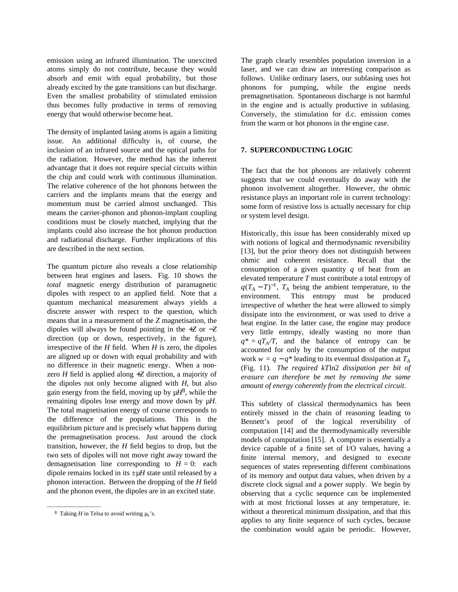emission using an infrared illumination. The unexcited atoms simply do not contribute, because they would absorb and emit with equal probability, but those already excited by the gate transitions can but discharge. Even the smallest probability of stimulated emission thus becomes fully productive in terms of removing energy that would otherwise become heat.

The density of implanted lasing atoms is again a limiting issue. An additional difficulty is, of course, the inclusion of an infrared source and the optical paths for the radiation. However, the method has the inherent advantage that it does not require special circuits within the chip and could work with continuous illumination. The relative coherence of the hot phonons between the carriers and the implants means that the energy and momentum must be carried almost unchanged. This means the carrier-phonon and phonon-implant coupling conditions must be closely matched, implying that the implants could also increase the hot phonon production and radiational discharge. Further implications of this are described in the next section.

The quantum picture also reveals a close relationship between heat engines and lasers. Fig. 10 shows the *total* magnetic energy distribution of paramagnetic dipoles with respect to an applied field. Note that a quantum mechanical measurement always yields a discrete answer with respect to the question, which means that in a measurement of the *Z* magnetisation, the dipoles will always be found pointing in the +*Z* or −*Z* direction (up or down, respectively, in the figure), irrespective of the *H* field. When *H* is zero, the dipoles are aligned up or down with equal probability and with no difference in their magnetic energy. When a nonzero *H* field is applied along +*Z* direction, a majority of the dipoles not only become aligned with *H*, but also gain energy from the field, moving up by  $\mu$ *H*<sup>8</sup>, while the remaining dipoles lose energy and move down by µ*H*. The total magnetisation energy of course corresponds to the difference of the populations. This is the equilibrium picture and is precisely what happens during the premagnetisation process. Just around the clock transition, however, the *H* field begins to drop, but the two sets of dipoles will not move right away toward the demagnetisation line corresponding to  $H = 0$ : each dipole remains locked in its  $\pm \mu H$  state until released by a phonon interaction. Between the dropping of the *H* field and the phonon event, the dipoles are in an excited state.

hhhhhhhhhhhhhhhhhh

The graph clearly resembles population inversion in a laser, and we can draw an interesting comparison as follows. Unlike ordinary lasers, our sublasing uses hot phonons for pumping, while the engine needs premagnetisation. Spontaneous discharge is not harmful in the engine and is actually productive in sublasing. Conversely, the stimulation for d.c. emission comes from the warm or hot phonons in the engine case.

#### **7. SUPERCONDUCTING LOGIC**

The fact that the hot phonons are relatively coherent suggests that we could eventually do away with the phonon involvement altogether. However, the ohmic resistance plays an important role in current technology: some form of resistive loss is actually necessary for chip or system level design.

Historically, this issue has been considerably mixed up with notions of logical and thermodynamic reversibility [13], but the prior theory does not distinguish between ohmic and coherent resistance. Recall that the consumption of a given quantity *q* of heat from an elevated temperature *T* must contribute a total entropy of  $q(T_A - T)^{-1}$ ,  $T_A$  being the ambient temperature, to the environment. This entropy must be produced irrespective of whether the heat were allowed to simply dissipate into the environment, or was used to drive a heat engine. In the latter case, the engine may produce very little entropy, ideally wasting no more than  $q^* = qT_A/T$ , and the balance of entropy can be accounted for only by the consumption of the output work  $w = q - q^*$  leading to its eventual dissipation at  $T_A$ (Fig. 11). *The required kT*ln2 *dissipation per bit of erasure can therefore be met by removing the same amount of energy coherently from the electrical circuit.*

This subtlety of classical thermodynamics has been entirely missed in the chain of reasoning leading to Bennett's proof of the logical reversibility of computation [14] and the thermodynamically reversible models of computation [15]. A computer is essentially a device capable of a finite set of I/O values, having a finite internal memory, and designed to execute sequences of states representing different combinations of its memory and output data values, when driven by a discrete clock signal and a power supply. We begin by observing that a cyclic sequence can be implemented with at most frictional losses at any temperature, ie. without a theoretical minimum dissipation, and that this applies to any finite sequence of such cycles, because the combination would again be periodic. However,

<sup>&</sup>lt;sup>8</sup> Taking *H* in Telsa to avoid writing  $\mu_0$ 's.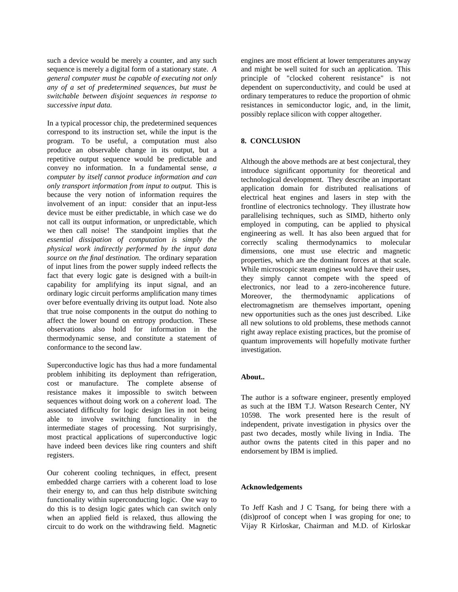such a device would be merely a counter, and any such sequence is merely a digital form of a stationary state. *A general computer must be capable of executing not only any of a set of predetermined sequences, but must be switchable between disjoint sequences in response to successive input data.*

In a typical processor chip, the predetermined sequences correspond to its instruction set, while the input is the program. To be useful, a computation must also produce an observable change in its output, but a repetitive output sequence would be predictable and convey no information. In a fundamental sense, *a computer by itself cannot produce information and can only transport information from input to output.* This is because the very notion of information requires the involvement of an input: consider that an input-less device must be either predictable, in which case we do not call its output information, or unpredictable, which we then call noise! The standpoint implies that *the essential dissipation of computation is simply the physical work indirectly performed by the input data source on the final destination.* The ordinary separation of input lines from the power supply indeed reflects the fact that every logic gate is designed with a built-in capability for amplifying its input signal, and an ordinary logic circuit performs amplification many times over before eventually driving its output load. Note also that true noise components in the output do nothing to affect the lower bound on entropy production. These observations also hold for information in the thermodynamic sense, and constitute a statement of conformance to the second law.

Superconductive logic has thus had a more fundamental problem inhibiting its deployment than refrigeration, cost or manufacture. The complete absense of resistance makes it impossible to switch between sequences without doing work on a *coherent* load. The associated difficulty for logic design lies in not being able to involve switching functionality in the intermediate stages of processing. Not surprisingly, most practical applications of superconductive logic have indeed been devices like ring counters and shift registers.

Our coherent cooling techniques, in effect, present embedded charge carriers with a coherent load to lose their energy to, and can thus help distribute switching functionality within superconducting logic. One way to do this is to design logic gates which can switch only when an applied field is relaxed, thus allowing the circuit to do work on the withdrawing field. Magnetic

engines are most efficient at lower temperatures anyway and might be well suited for such an application. This principle of "clocked coherent resistance" is not dependent on superconductivity, and could be used at ordinary temperatures to reduce the proportion of ohmic resistances in semiconductor logic, and, in the limit, possibly replace silicon with copper altogether.

## **8. CONCLUSION**

Although the above methods are at best conjectural, they introduce significant opportunity for theoretical and technological development. They describe an important application domain for distributed realisations of electrical heat engines and lasers in step with the frontline of electronics technology. They illustrate how parallelising techniques, such as SIMD, hitherto only employed in computing, can be applied to physical engineering as well. It has also been argued that for correctly scaling thermodynamics to molecular dimensions, one must use electric and magnetic properties, which are the dominant forces at that scale. While microscopic steam engines would have their uses, they simply cannot compete with the speed of electronics, nor lead to a zero-incoherence future. Moreover, the thermodynamic applications of electromagnetism are themselves important, opening new opportunities such as the ones just described. Like all new solutions to old problems, these methods cannot right away replace existing practices, but the promise of quantum improvements will hopefully motivate further investigation.

#### **About..**

The author is a software engineer, presently employed as such at the IBM T.J. Watson Research Center, NY 10598. The work presented here is the result of independent, private investigation in physics over the past two decades, mostly while living in India. The author owns the patents cited in this paper and no endorsement by IBM is implied.

#### **Acknowledgements**

To Jeff Kash and J C Tsang, for being there with a (dis)proof of concept when I was groping for one; to Vijay R Kirloskar, Chairman and M.D. of Kirloskar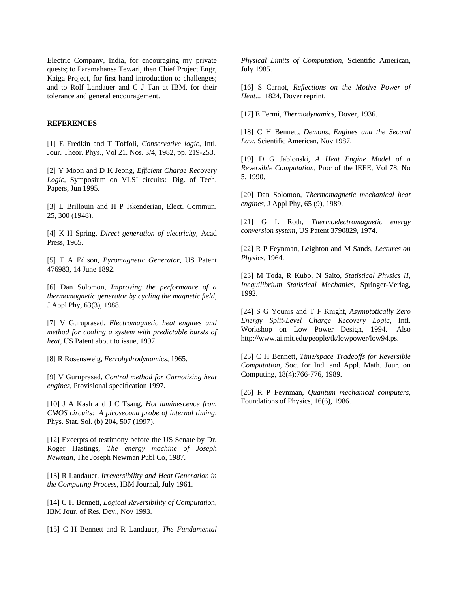Electric Company, India, for encouraging my private quests; to Paramahansa Tewari, then Chief Project Engr, Kaiga Project, for first hand introduction to challenges; and to Rolf Landauer and C J Tan at IBM, for their tolerance and general encouragement.

#### **REFERENCES**

[1] E Fredkin and T Toffoli, *Conservative logic,* Intl. Jour. Theor. Phys., Vol 21. Nos. 3/4, 1982, pp. 219-253.

[2] Y Moon and D K Jeong, *Efficient Charge Recovery Logic,* Symposium on VLSI circuits: Dig. of Tech. Papers, Jun 1995.

[3] L Brillouin and H P Iskenderian, Elect. Commun. 25, 300 (1948).

[4] K H Spring, *Direct generation of electricity,* Acad Press, 1965.

[5] T A Edison, *Pyromagnetic Generator,* US Patent 476983, 14 June 1892.

[6] Dan Solomon, *Improving the performance of a thermomagnetic generator by cycling the magnetic field,* J Appl Phy, 63(3), 1988.

[7] V Guruprasad, *Electromagnetic heat engines and method for cooling a system with predictable bursts of heat,* US Patent about to issue, 1997.

[8] R Rosensweig, *Ferrohydrodynamics,* 1965.

[9] V Guruprasad, *Control method for Carnotizing heat engines,* Provisional specification 1997.

[10] J A Kash and J C Tsang, *Hot luminescence from CMOS circuits: A picosecond probe of internal timing,* Phys. Stat. Sol. (b) 204, 507 (1997).

[12] Excerpts of testimony before the US Senate by Dr. Roger Hastings, *The energy machine of Joseph Newman,* The Joseph Newman Publ Co, 1987.

[13] R Landauer, *Irreversibility and Heat Generation in the Computing Process,* IBM Journal, July 1961.

[14] C H Bennett, *Logical Reversibility of Computation,* IBM Jour. of Res. Dev., Nov 1993.

[15] C H Bennett and R Landauer, *The Fundamental*

*Physical Limits of Computation,* Scientific American, July 1985.

[16] S Carnot, *Reflections on the Motive Power of Heat...* 1824, Dover reprint.

[17] E Fermi, *Thermodynamics,* Dover, 1936.

[18] C H Bennett, *Demons, Engines and the Second Law,* Scientific American, Nov 1987.

[19] D G Jablonski, *A Heat Engine Model of a Reversible Computation,* Proc of the IEEE, Vol 78, No 5, 1990.

[20] Dan Solomon, *Thermomagnetic mechanical heat engines,* J Appl Phy, 65 (9), 1989.

[21] G L Roth, *Thermoelectromagnetic energy conversion system,* US Patent 3790829, 1974.

[22] R P Feynman, Leighton and M Sands, *Lectures on Physics,* 1964.

[23] M Toda, R Kubo, N Saito, *Statistical Physics II, Inequilibrium Statistical Mechanics,* Springer-Verlag, 1992.

[24] S G Younis and T F Knight, *Asymptotically Zero Energy Split-Level Charge Recovery Logic,* Intl. Workshop on Low Power Design, 1994. Also http://www.ai.mit.edu/people/tk/lowpower/low94.ps.

[25] C H Bennett, *Time/space Tradeoffs for Reversible Computation,* Soc. for Ind. and Appl. Math. Jour. on Computing, 18(4):766-776, 1989.

[26] R P Feynman, *Quantum mechanical computers,* Foundations of Physics, 16(6), 1986.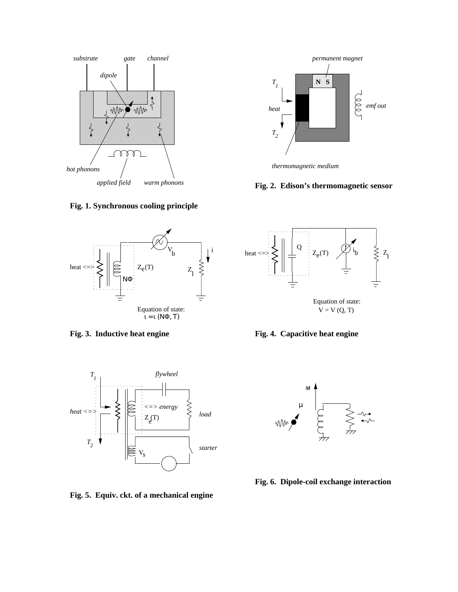

**Fig. 1. Synchronous cooling principle**





**Fig. 5. Equiv. ckt. of a mechanical engine**



*thermomagnetic medium*

# **Fig. 2. Edison's thermomagnetic sensor**



Fig. 3. Inductive heat engine Fig. 4. Capacitive heat engine



**Fig. 6. Dipole-coil exchange interaction**